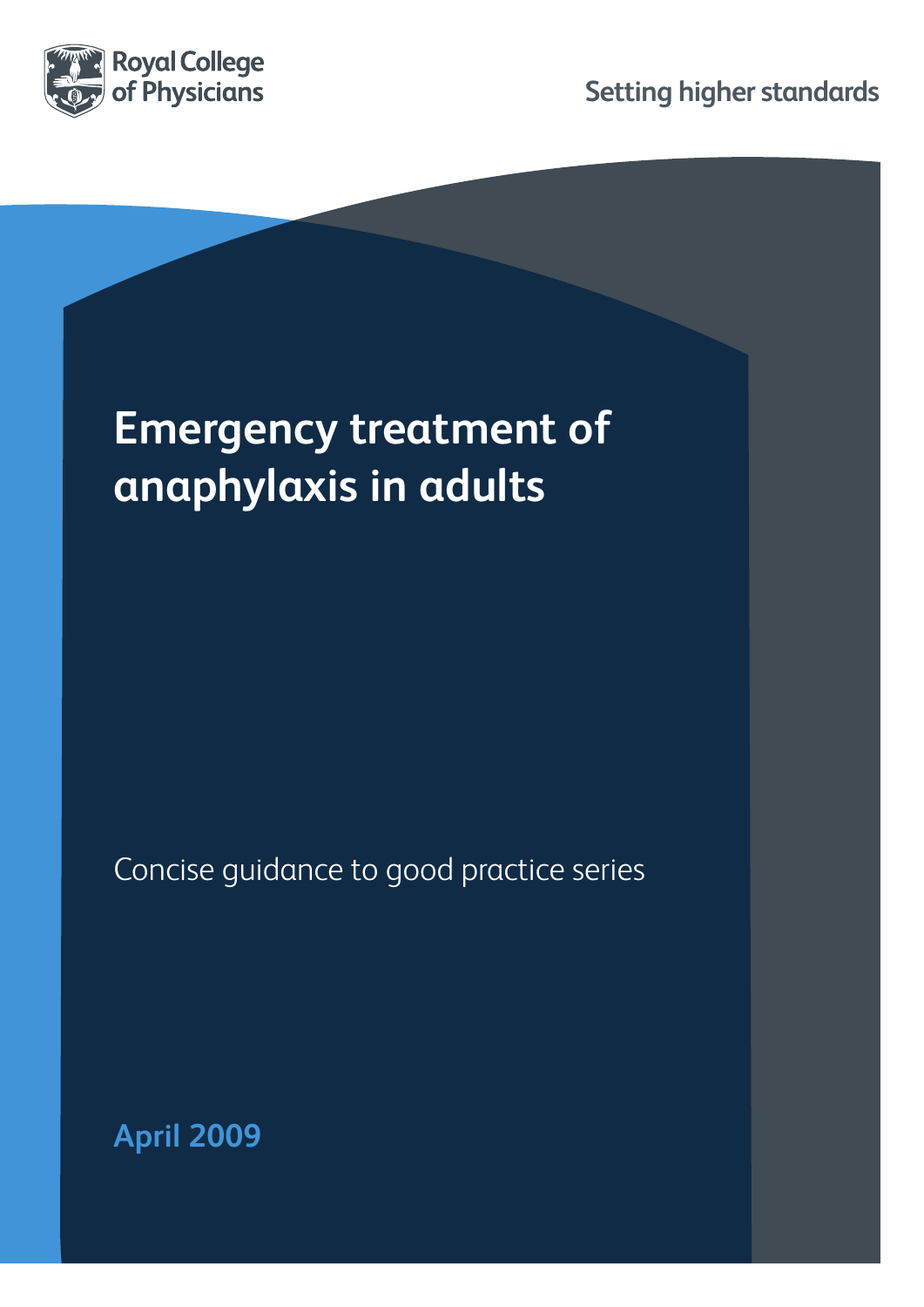

**Setting higher standards**

# **Emergency treatment of anaphylaxis in adults**

Concise guidance to good practice series

**April 2009**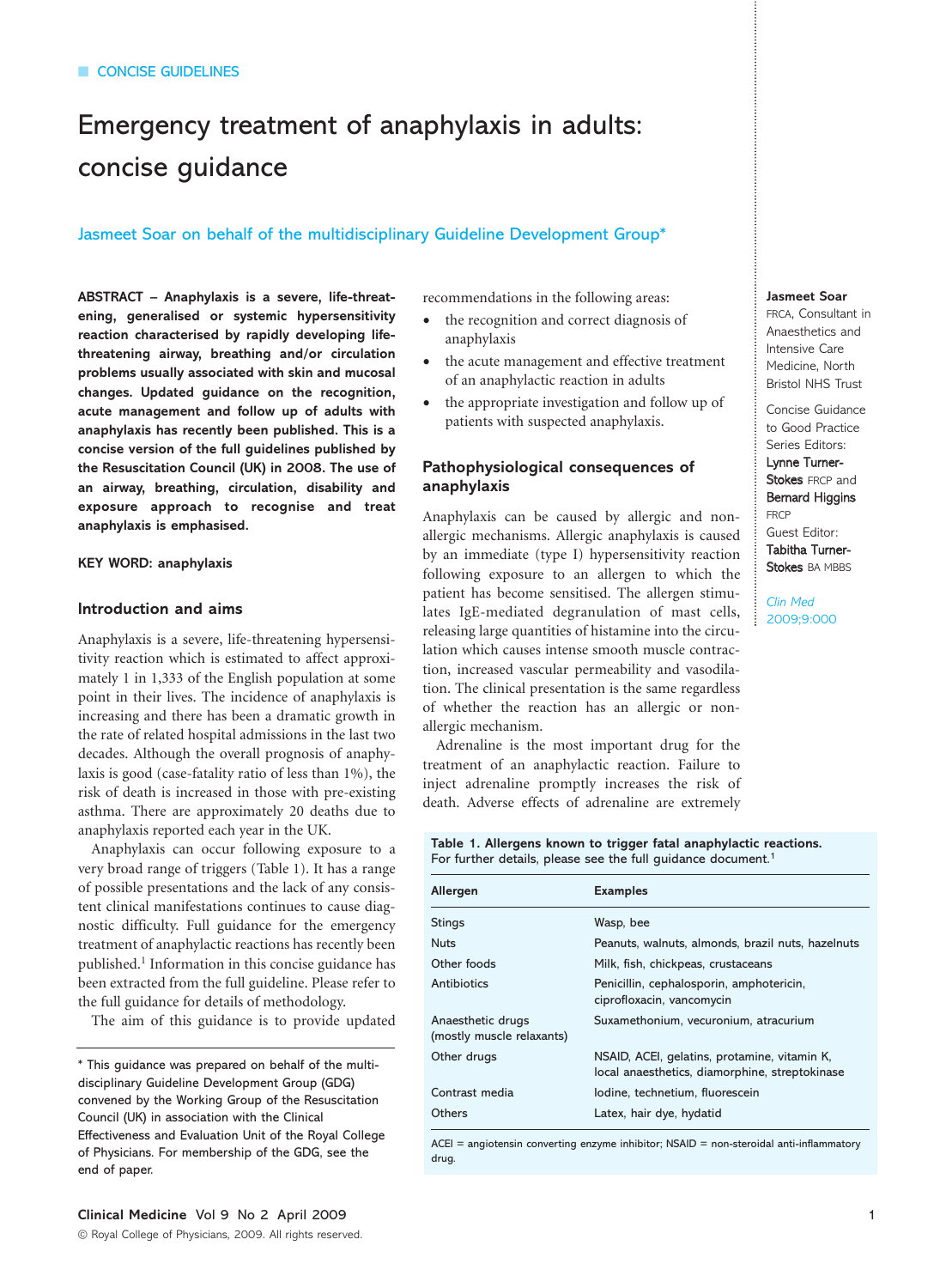## Emergency treatment of anaphylaxis in adults: concise guidance

#### Jasmeet Soar on behalf of the multidisciplinary Guideline Development Group\*

**ABSTRACT – Anaphylaxis is a severe, life-threatening, generalised or systemic hypersensitivity reaction characterised by rapidly developing lifethreatening airway, breathing and/or circulation problems usually associated with skin and mucosal changes. Updated guidance on the recognition, acute management and follow up of adults with anaphylaxis has recently been published. This is a concise version of the full guidelines published by the Resuscitation Council (UK) in 2008. The use of an airway, breathing, circulation, disability and exposure approach to recognise and treat anaphylaxis is emphasised.**

#### **KEY WORD: anaphylaxis**

#### **Introduction and aims**

Anaphylaxis is a severe, life-threatening hypersensitivity reaction which is estimated to affect approximately 1 in 1,333 of the English population at some point in their lives. The incidence of anaphylaxis is increasing and there has been a dramatic growth in the rate of related hospital admissions in the last two decades. Although the overall prognosis of anaphylaxis is good (case-fatality ratio of less than 1%), the risk of death is increased in those with pre-existing asthma. There are approximately 20 deaths due to anaphylaxis reported each year in the UK.

Anaphylaxis can occur following exposure to a very broad range of triggers (Table 1). It has a range of possible presentations and the lack of any consistent clinical manifestations continues to cause diagnostic difficulty. Full guidance for the emergency treatment of anaphylactic reactions has recently been published.1 Information in this concise guidance has been extracted from the full guideline. Please refer to the full guidance for details of methodology.

The aim of this guidance is to provide updated

recommendations in the following areas:

- the recognition and correct diagnosis of anaphylaxis
- the acute management and effective treatment of an anaphylactic reaction in adults
- the appropriate investigation and follow up of patients with suspected anaphylaxis.

#### **Pathophysiological consequences of anaphylaxis**

Anaphylaxis can be caused by allergic and nonallergic mechanisms. Allergic anaphylaxis is caused by an immediate (type I) hypersensitivity reaction following exposure to an allergen to which the patient has become sensitised. The allergen stimulates IgE-mediated degranulation of mast cells, releasing large quantities of histamine into the circulation which causes intense smooth muscle contraction, increased vascular permeability and vasodilation. The clinical presentation is the same regardless of whether the reaction has an allergic or nonallergic mechanism.

Adrenaline is the most important drug for the treatment of an anaphylactic reaction. Failure to inject adrenaline promptly increases the risk of death. Adverse effects of adrenaline are extremely

### **Jasmeet Soar**

FRCA, Consultant in Anaesthetics and Intensive Care Medicine, North Bristol NHS Trust

Concise Guidance to Good Practice Series Editors: Lynne Turner-Stokes FRCP and Bernard Higgins

FRCP Guest Editor: Tabitha Turner-Stokes BA MBBS

*Clin Med* 2009;9:000

**Table 1. Allergens known to trigger fatal anaphylactic reactions.**  For further details, please see the full guidance document.<sup>1</sup>

| Allergen                                       | <b>Examples</b>                                                                                |
|------------------------------------------------|------------------------------------------------------------------------------------------------|
| Stings                                         | Wasp, bee                                                                                      |
| <b>Nuts</b>                                    | Peanuts, walnuts, almonds, brazil nuts, hazelnuts                                              |
| Other foods                                    | Milk, fish, chickpeas, crustaceans                                                             |
| Antibiotics                                    | Penicillin, cephalosporin, amphotericin,<br>ciprofloxacin, vancomycin                          |
| Anaesthetic drugs<br>(mostly muscle relaxants) | Suxamethonium, vecuronium, atracurium                                                          |
| Other drugs                                    | NSAID, ACEI, gelatins, protamine, vitamin K,<br>local anaesthetics, diamorphine, streptokinase |
| Contrast media                                 | lodine, technetium, fluorescein                                                                |
| Others                                         | Latex, hair dye, hydatid                                                                       |

ACEI = angiotensin converting enzyme inhibitor; NSAID = non-steroidal anti-inflammatory drug.

<sup>\*</sup> This guidance was prepared on behalf of the multidisciplinary Guideline Development Group (GDG) convened by the Working Group of the Resuscitation Council (UK) in association with the Clinical Effectiveness and Evaluation Unit of the Royal College of Physicians. For membership of the GDG, see the end of paper.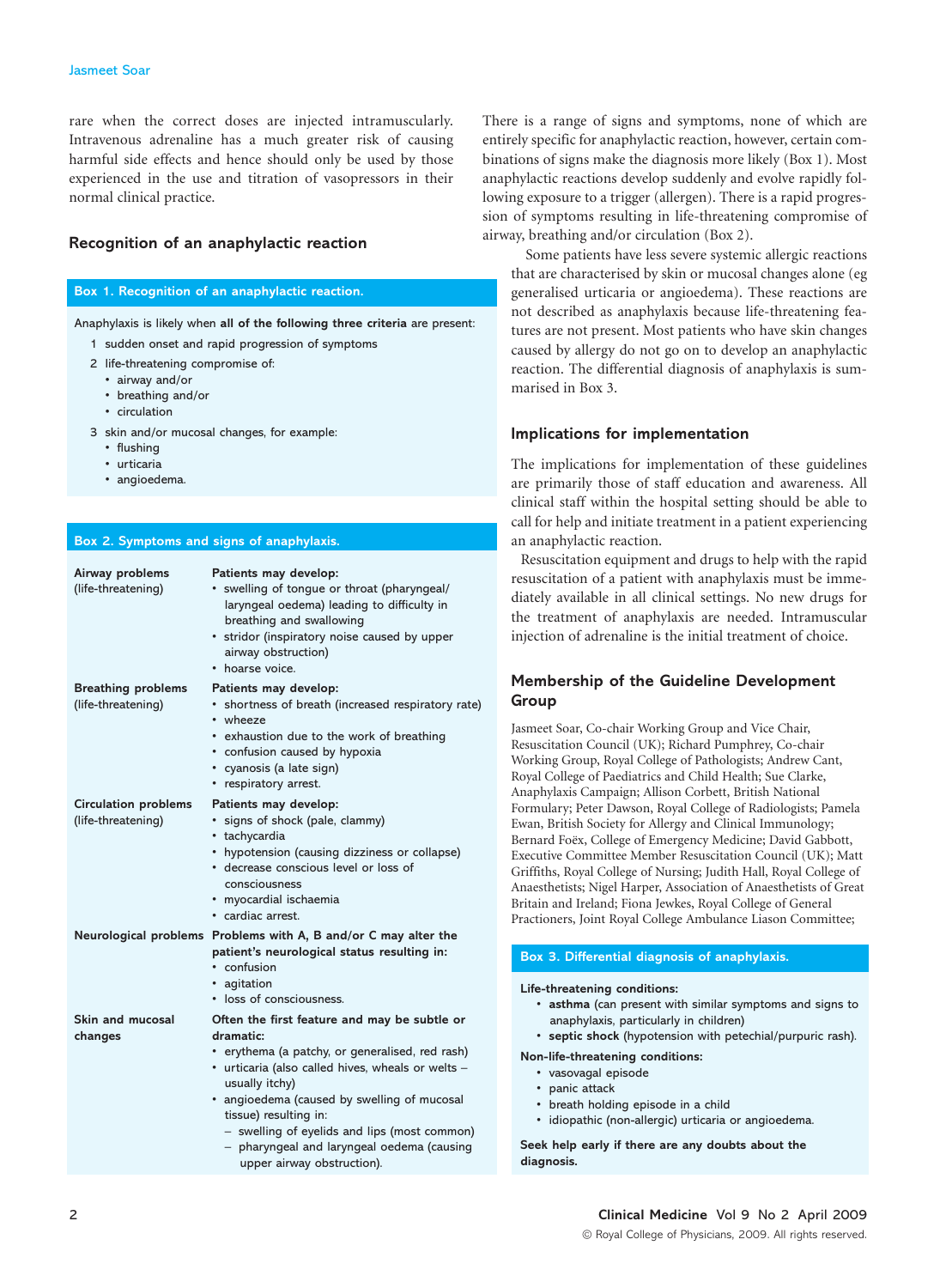rare when the correct doses are injected intramuscularly. Intravenous adrenaline has a much greater risk of causing harmful side effects and hence should only be used by those experienced in the use and titration of vasopressors in their normal clinical practice.

#### **Recognition of an anaphylactic reaction**

#### **Box 1. Recognition of an anaphylactic reaction.**

- Anaphylaxis is likely when **all of the following three criteria** are present:
	- 1 sudden onset and rapid progression of symptoms
	- 2 life-threatening compromise of:
		- airway and/or
		- breathing and/or
		- circulation
	- 3 skin and/or mucosal changes, for example:
		- flushing
		- urticaria
		- angioedema.

| Box 2. Symptoms and signs of anaphylaxis.         |                                                                                                                                                                                                                                                                                                                                                                                         |
|---------------------------------------------------|-----------------------------------------------------------------------------------------------------------------------------------------------------------------------------------------------------------------------------------------------------------------------------------------------------------------------------------------------------------------------------------------|
| Airway problems<br>(life-threatening)             | Patients may develop:<br>swelling of tongue or throat (pharyngeal/<br>laryngeal oedema) leading to difficulty in<br>breathing and swallowing<br>• stridor (inspiratory noise caused by upper<br>airway obstruction)<br>• hoarse voice.                                                                                                                                                  |
| <b>Breathing problems</b><br>(life-threatening)   | Patients may develop:<br>• shortness of breath (increased respiratory rate)<br>• wheeze<br>• exhaustion due to the work of breathing<br>• confusion caused by hypoxia<br>• cyanosis (a late sign)<br>• respiratory arrest.                                                                                                                                                              |
| <b>Circulation problems</b><br>(life-threatening) | Patients may develop:<br>signs of shock (pale, clammy)<br>٠<br>• tachycardia<br>• hypotension (causing dizziness or collapse)<br>· decrease conscious level or loss of<br>consciousness<br>· myocardial ischaemia<br>· cardiac arrest.                                                                                                                                                  |
|                                                   | Neurological problems Problems with A, B and/or C may alter the<br>patient's neurological status resulting in:<br>• confusion<br>• agitation<br>• loss of consciousness.                                                                                                                                                                                                                |
| <b>Skin and mucosal</b><br>changes                | Often the first feature and may be subtle or<br>dramatic:<br>• erythema (a patchy, or generalised, red rash)<br>· urticaria (also called hives, wheals or welts -<br>usually itchy)<br>· angioedema (caused by swelling of mucosal<br>tissue) resulting in:<br>- swelling of eyelids and lips (most common)<br>- pharyngeal and laryngeal oedema (causing<br>upper airway obstruction). |

There is a range of signs and symptoms, none of which are entirely specific for anaphylactic reaction, however, certain combinations of signs make the diagnosis more likely (Box 1). Most anaphylactic reactions develop suddenly and evolve rapidly following exposure to a trigger (allergen). There is a rapid progression of symptoms resulting in life-threatening compromise of airway, breathing and/or circulation (Box 2).

Some patients have less severe systemic allergic reactions that are characterised by skin or mucosal changes alone (eg generalised urticaria or angioedema). These reactions are not described as anaphylaxis because life-threatening features are not present. Most patients who have skin changes caused by allergy do not go on to develop an anaphylactic reaction. The differential diagnosis of anaphylaxis is summarised in Box 3.

#### **Implications for implementation**

The implications for implementation of these guidelines are primarily those of staff education and awareness. All clinical staff within the hospital setting should be able to call for help and initiate treatment in a patient experiencing an anaphylactic reaction.

Resuscitation equipment and drugs to help with the rapid resuscitation of a patient with anaphylaxis must be immediately available in all clinical settings. No new drugs for the treatment of anaphylaxis are needed. Intramuscular injection of adrenaline is the initial treatment of choice.

#### **Membership of the Guideline Development Group**

Jasmeet Soar, Co-chair Working Group and Vice Chair, Resuscitation Council (UK); Richard Pumphrey, Co-chair Working Group, Royal College of Pathologists; Andrew Cant, Royal College of Paediatrics and Child Health; Sue Clarke, Anaphylaxis Campaign; Allison Corbett, British National Formulary; Peter Dawson, Royal College of Radiologists; Pamela Ewan, British Society for Allergy and Clinical Immunology; Bernard Foëx, College of Emergency Medicine; David Gabbott, Executive Committee Member Resuscitation Council (UK); Matt Griffiths, Royal College of Nursing; Judith Hall, Royal College of Anaesthetists; Nigel Harper, Association of Anaesthetists of Great Britain and Ireland; Fiona Jewkes, Royal College of General Practioners, Joint Royal College Ambulance Liason Committee;

#### **Box 3. Differential diagnosis of anaphylaxis.**

#### **Life-threatening conditions:**

- **asthma** (can present with similar symptoms and signs to anaphylaxis, particularly in children)
- **septic shock** (hypotension with petechial/purpuric rash).

#### **Non-life-threatening conditions:**

- **•** vasovagal episode
- **•** panic attack
- **•** breath holding episode in a child
- **•** idiopathic (non-allergic) urticaria or angioedema.

**Seek help early if there are any doubts about the diagnosis.**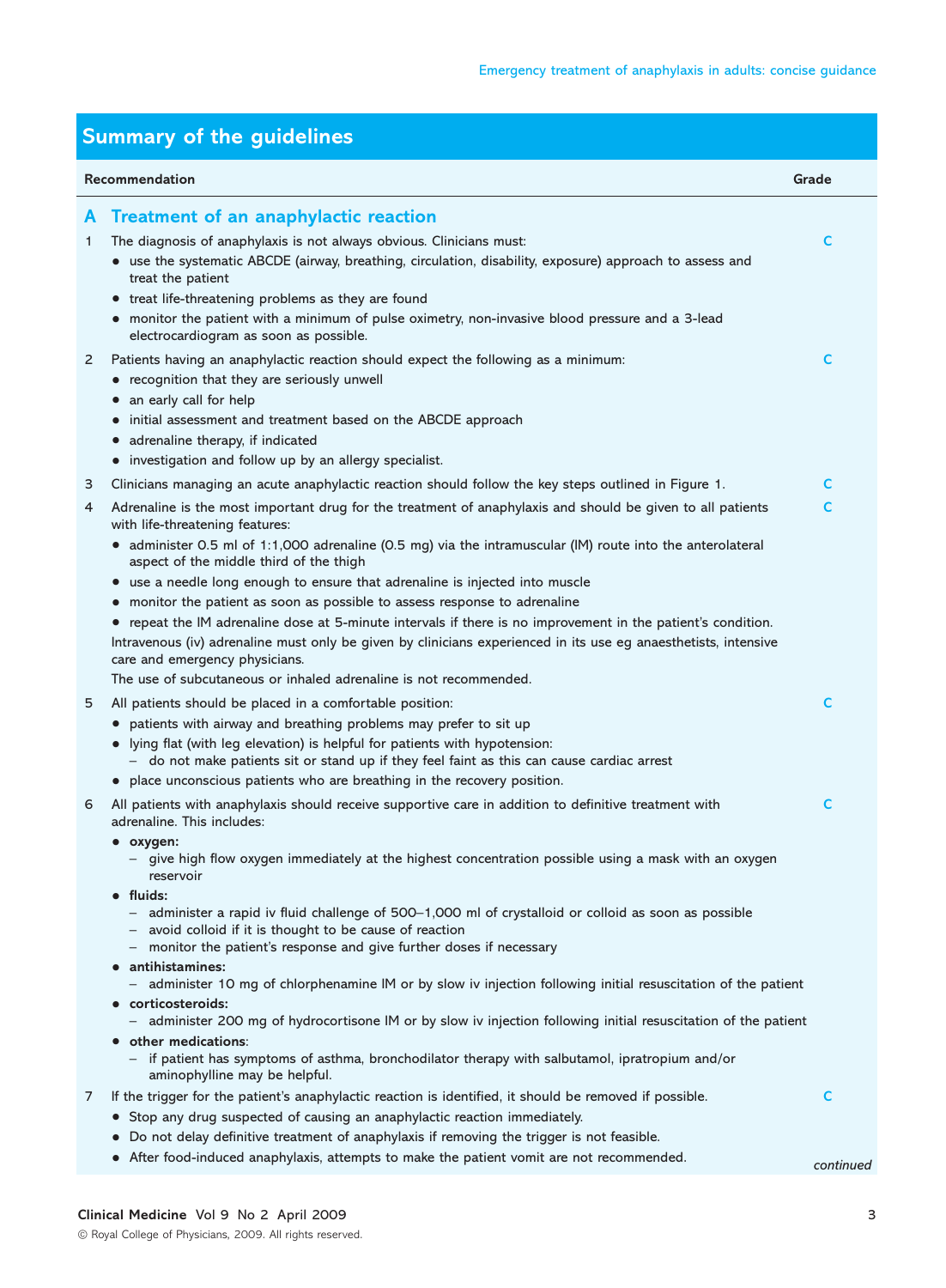| <b>Summary of the guidelines</b> |                                                                                                                                                                                                                                                                                                                                                                       |           |  |  |
|----------------------------------|-----------------------------------------------------------------------------------------------------------------------------------------------------------------------------------------------------------------------------------------------------------------------------------------------------------------------------------------------------------------------|-----------|--|--|
|                                  | Recommendation                                                                                                                                                                                                                                                                                                                                                        | Grade     |  |  |
| A<br>1.                          | <b>Treatment of an anaphylactic reaction</b><br>The diagnosis of anaphylaxis is not always obvious. Clinicians must:<br>• use the systematic ABCDE (airway, breathing, circulation, disability, exposure) approach to assess and<br>treat the patient                                                                                                                 | C         |  |  |
| 2                                | • treat life-threatening problems as they are found<br>• monitor the patient with a minimum of pulse oximetry, non-invasive blood pressure and a 3-lead<br>electrocardiogram as soon as possible.<br>Patients having an anaphylactic reaction should expect the following as a minimum:                                                                               | c         |  |  |
|                                  | • recognition that they are seriously unwell<br>• an early call for help<br>initial assessment and treatment based on the ABCDE approach<br>$\bullet$<br>• adrenaline therapy, if indicated<br>• investigation and follow up by an allergy specialist.                                                                                                                |           |  |  |
| 3                                | Clinicians managing an acute anaphylactic reaction should follow the key steps outlined in Figure 1.                                                                                                                                                                                                                                                                  | C         |  |  |
| 4                                | Adrenaline is the most important drug for the treatment of anaphylaxis and should be given to all patients<br>with life-threatening features:<br>• administer 0.5 ml of 1:1,000 adrenaline (0.5 mg) via the intramuscular (IM) route into the anterolateral                                                                                                           | C         |  |  |
|                                  | aspect of the middle third of the thigh                                                                                                                                                                                                                                                                                                                               |           |  |  |
|                                  | • use a needle long enough to ensure that adrenaline is injected into muscle                                                                                                                                                                                                                                                                                          |           |  |  |
|                                  | monitor the patient as soon as possible to assess response to adrenaline<br>$\bullet$<br>repeat the IM adrenaline dose at 5-minute intervals if there is no improvement in the patient's condition.<br>$\bullet$<br>Intravenous (iv) adrenaline must only be given by clinicians experienced in its use eg anaesthetists, intensive<br>care and emergency physicians. |           |  |  |
|                                  | The use of subcutaneous or inhaled adrenaline is not recommended.                                                                                                                                                                                                                                                                                                     |           |  |  |
| 5                                | All patients should be placed in a comfortable position:<br>• patients with airway and breathing problems may prefer to sit up<br>• lying flat (with leg elevation) is helpful for patients with hypotension:<br>- do not make patients sit or stand up if they feel faint as this can cause cardiac arrest                                                           | C         |  |  |
|                                  | • place unconscious patients who are breathing in the recovery position.                                                                                                                                                                                                                                                                                              |           |  |  |
| 6                                | All patients with anaphylaxis should receive supportive care in addition to definitive treatment with<br>adrenaline. This includes:                                                                                                                                                                                                                                   | c         |  |  |
|                                  | • oxygen:<br>- give high flow oxygen immediately at the highest concentration possible using a mask with an oxygen<br>reservoir                                                                                                                                                                                                                                       |           |  |  |
|                                  | $\bullet$ fluids:<br>- administer a rapid iv fluid challenge of 500-1,000 ml of crystalloid or colloid as soon as possible<br>avoid colloid if it is thought to be cause of reaction<br>monitor the patient's response and give further doses if necessary                                                                                                            |           |  |  |
|                                  | antihistamines:<br>$\bullet$<br>- administer 10 mg of chlorphenamine IM or by slow iv injection following initial resuscitation of the patient                                                                                                                                                                                                                        |           |  |  |
|                                  | • corticosteroids:<br>administer 200 mg of hydrocortisone IM or by slow iv injection following initial resuscitation of the patient                                                                                                                                                                                                                                   |           |  |  |
|                                  | • other medications:<br>- if patient has symptoms of asthma, bronchodilator therapy with salbutamol, ipratropium and/or<br>aminophylline may be helpful.                                                                                                                                                                                                              |           |  |  |
| 7                                | If the trigger for the patient's anaphylactic reaction is identified, it should be removed if possible.<br>• Stop any drug suspected of causing an anaphylactic reaction immediately.                                                                                                                                                                                 | C         |  |  |
|                                  | Do not delay definitive treatment of anaphylaxis if removing the trigger is not feasible.                                                                                                                                                                                                                                                                             |           |  |  |
|                                  | After food-induced anaphylaxis, attempts to make the patient vomit are not recommended.<br>$\bullet$                                                                                                                                                                                                                                                                  | continued |  |  |

**Clinical Medicine** Vol 9 No 2 April 2009 3 © Royal College of Physicians, 2009. All rights reserved.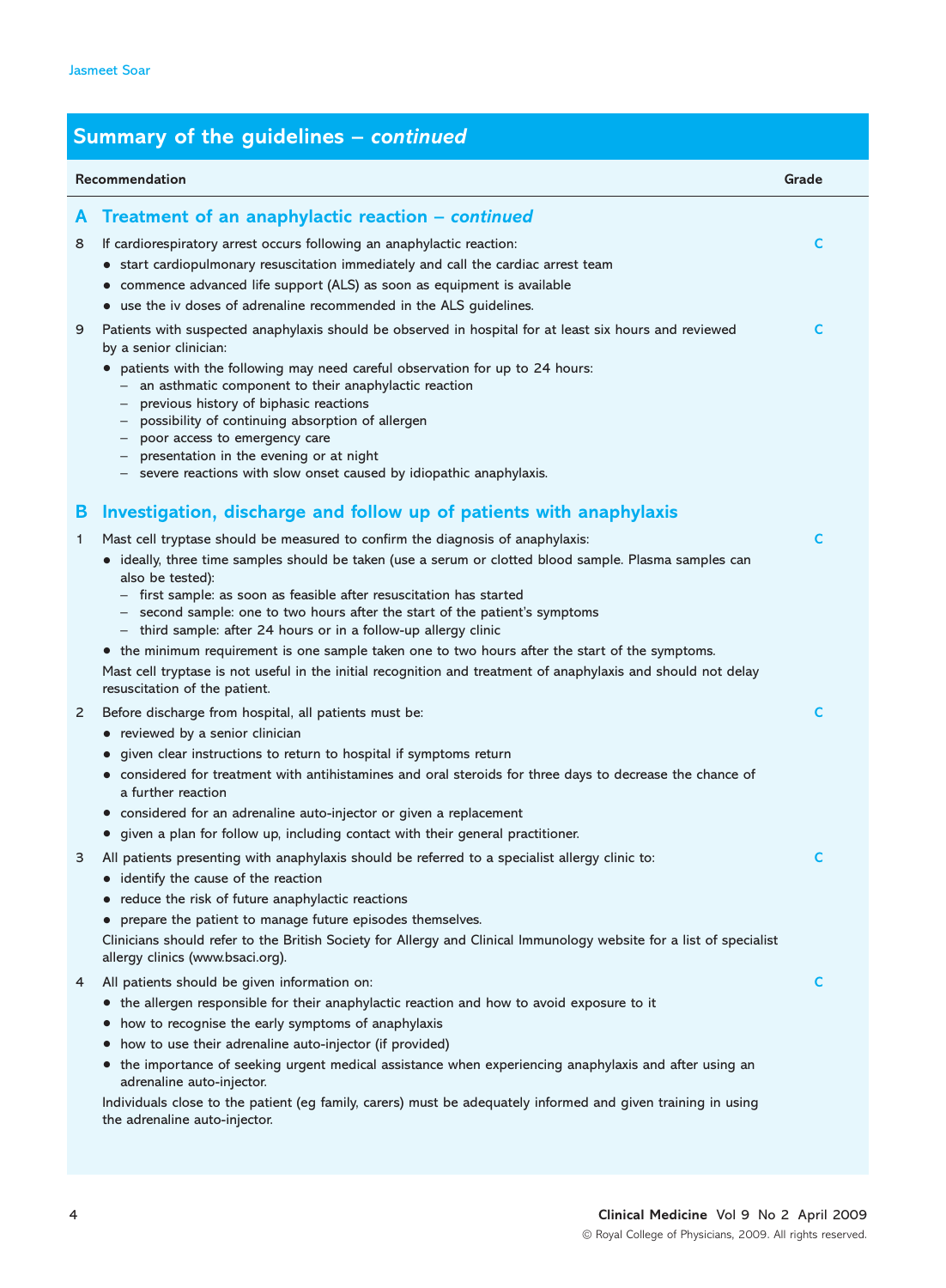### **Summary of the guidelines –** *continued*

|    | Recommendation                                                                                                                                                                                                                                                                                                                                                                                                                                                                                                                                                                                                                                                                             | Grade |
|----|--------------------------------------------------------------------------------------------------------------------------------------------------------------------------------------------------------------------------------------------------------------------------------------------------------------------------------------------------------------------------------------------------------------------------------------------------------------------------------------------------------------------------------------------------------------------------------------------------------------------------------------------------------------------------------------------|-------|
| A  | Treatment of an anaphylactic reaction - continued                                                                                                                                                                                                                                                                                                                                                                                                                                                                                                                                                                                                                                          |       |
| 8  | If cardiorespiratory arrest occurs following an anaphylactic reaction:<br>• start cardiopulmonary resuscitation immediately and call the cardiac arrest team<br>• commence advanced life support (ALS) as soon as equipment is available                                                                                                                                                                                                                                                                                                                                                                                                                                                   | C     |
|    | • use the iv doses of adrenaline recommended in the ALS guidelines.                                                                                                                                                                                                                                                                                                                                                                                                                                                                                                                                                                                                                        |       |
| 9  | Patients with suspected anaphylaxis should be observed in hospital for at least six hours and reviewed<br>by a senior clinician:<br>• patients with the following may need careful observation for up to 24 hours:<br>an asthmatic component to their anaphylactic reaction<br>previous history of biphasic reactions<br>possibility of continuing absorption of allergen<br>poor access to emergency care<br>presentation in the evening or at night<br>- severe reactions with slow onset caused by idiopathic anaphylaxis.                                                                                                                                                              | C     |
| В  | Investigation, discharge and follow up of patients with anaphylaxis                                                                                                                                                                                                                                                                                                                                                                                                                                                                                                                                                                                                                        |       |
| 1. | Mast cell tryptase should be measured to confirm the diagnosis of anaphylaxis:<br>• ideally, three time samples should be taken (use a serum or clotted blood sample. Plasma samples can<br>also be tested):<br>- first sample: as soon as feasible after resuscitation has started<br>- second sample: one to two hours after the start of the patient's symptoms<br>- third sample: after 24 hours or in a follow-up allergy clinic<br>• the minimum requirement is one sample taken one to two hours after the start of the symptoms.<br>Mast cell tryptase is not useful in the initial recognition and treatment of anaphylaxis and should not delay<br>resuscitation of the patient. | C     |
| 2  | Before discharge from hospital, all patients must be:<br>• reviewed by a senior clinician                                                                                                                                                                                                                                                                                                                                                                                                                                                                                                                                                                                                  | C     |
|    | • given clear instructions to return to hospital if symptoms return<br>• considered for treatment with antihistamines and oral steroids for three days to decrease the chance of<br>a further reaction<br>• considered for an adrenaline auto-injector or given a replacement<br>• given a plan for follow up, including contact with their general practitioner.                                                                                                                                                                                                                                                                                                                          |       |
| З  | All patients presenting with anaphylaxis should be referred to a specialist allergy clinic to:<br>• identify the cause of the reaction<br>• reduce the risk of future anaphylactic reactions<br>• prepare the patient to manage future episodes themselves.<br>Clinicians should refer to the British Society for Allergy and Clinical Immunology website for a list of specialist<br>allergy clinics (www.bsaci.org).                                                                                                                                                                                                                                                                     | C     |
| 4  | All patients should be given information on:<br>• the allergen responsible for their anaphylactic reaction and how to avoid exposure to it<br>how to recognise the early symptoms of anaphylaxis<br>$\bullet$<br>how to use their adrenaline auto-injector (if provided)<br>• the importance of seeking urgent medical assistance when experiencing anaphylaxis and after using an<br>adrenaline auto-injector.<br>Individuals close to the patient (eg family, carers) must be adequately informed and given training in using<br>the adrenaline auto-injector.                                                                                                                           | C     |